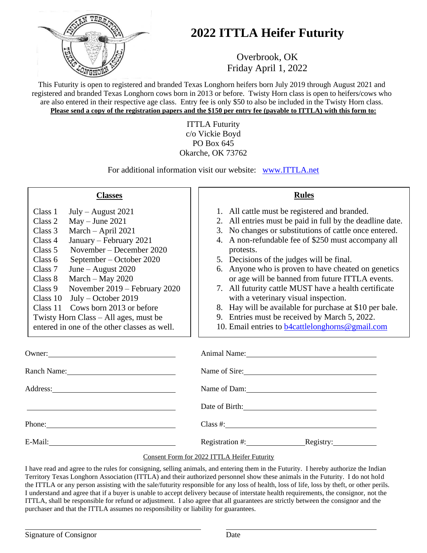

## **2022 ITTLA Heifer Futurity**

Overbrook, OK Friday April 1, 2022

This Futurity is open to registered and branded Texas Longhorn heifers born July 2019 through August 2021 and registered and branded Texas Longhorn cows born in 2013 or before. Twisty Horn class is open to heifers/cows who are also entered in their respective age class. Entry fee is only \$50 to also be included in the Twisty Horn class. **Please send a copy of the registration papers and the \$150 per entry fee (payable to ITTLA) with this form to:**

> ITTLA Futurity c/o Vickie Boyd PO Box 645 Okarche, OK 73762

For additional information visit our website: [www.ITTLA.net](http://www.ittla.net/)

| <b>Classes</b>                                                                                                                                                                                                                                                                                                                                                                                                                                                                                             | <b>Rules</b>                                                                                                                                                                                                                                                                                                                                                                                                                                                                                                                                                                                                                                                             |
|------------------------------------------------------------------------------------------------------------------------------------------------------------------------------------------------------------------------------------------------------------------------------------------------------------------------------------------------------------------------------------------------------------------------------------------------------------------------------------------------------------|--------------------------------------------------------------------------------------------------------------------------------------------------------------------------------------------------------------------------------------------------------------------------------------------------------------------------------------------------------------------------------------------------------------------------------------------------------------------------------------------------------------------------------------------------------------------------------------------------------------------------------------------------------------------------|
| Class 1<br>$July - August 2021$<br>$May - June 2021$<br>Class 2<br>March - April 2021<br>Class 3<br>Class 4<br>January – February 2021<br>November – December 2020<br>Class 5<br>September – October 2020<br>Class 6<br>June – August $2020$<br>Class 7<br>March $-$ May 2020<br>Class 8<br>November 2019 – February 2020<br>Class 9<br>Class $10$<br>July – October 2019<br>Cows born 2013 or before<br>Class 11<br>Twisty Horn Class – All ages, must be<br>entered in one of the other classes as well. | 1. All cattle must be registered and branded.<br>2. All entries must be paid in full by the deadline date.<br>3. No changes or substitutions of cattle once entered.<br>4. A non-refundable fee of \$250 must accompany all<br>protests.<br>5. Decisions of the judges will be final.<br>6. Anyone who is proven to have cheated on genetics<br>or age will be banned from future ITTLA events.<br>7. All futurity cattle MUST have a health certificate<br>with a veterinary visual inspection.<br>8. Hay will be available for purchase at \$10 per bale.<br>9. Entries must be received by March 5, 2022.<br>10. Email entries to <b>b</b> 4cattlelonghorns@gmail.com |
| Owner:                                                                                                                                                                                                                                                                                                                                                                                                                                                                                                     | Animal Name: Name and Solid Animal Name and Solid Animal Name and Solid Animal Name and Solid Animal Animal Animal Animal Animal Animal Animal Animal Animal Animal Animal Animal Animal Animal Animal Animal Animal Animal An                                                                                                                                                                                                                                                                                                                                                                                                                                           |
| Ranch Name: Name and Allen and Allen and Allen and Allen and Allen and Allen and Allen and Allen and Allen and Allen and Allen and Allen and Allen and Allen and Allen and Allen and Allen and Allen and Allen and Allen and A                                                                                                                                                                                                                                                                             | Name of Sire:                                                                                                                                                                                                                                                                                                                                                                                                                                                                                                                                                                                                                                                            |
| Address: No. 1998. The Contract of the Contract of the Contract of the Contract of the Contract of the Contract of the Contract of the Contract of the Contract of the Contract of the Contract of the Contract of the Contrac                                                                                                                                                                                                                                                                             | Name of Dam:                                                                                                                                                                                                                                                                                                                                                                                                                                                                                                                                                                                                                                                             |
|                                                                                                                                                                                                                                                                                                                                                                                                                                                                                                            | Date of Birth: 2008                                                                                                                                                                                                                                                                                                                                                                                                                                                                                                                                                                                                                                                      |
| Phone: Note and the set of the set of the set of the set of the set of the set of the set of the set of the set of the set of the set of the set of the set of the set of the set of the set of the set of the set of the set                                                                                                                                                                                                                                                                              |                                                                                                                                                                                                                                                                                                                                                                                                                                                                                                                                                                                                                                                                          |
|                                                                                                                                                                                                                                                                                                                                                                                                                                                                                                            | Registration #: Registry:                                                                                                                                                                                                                                                                                                                                                                                                                                                                                                                                                                                                                                                |
|                                                                                                                                                                                                                                                                                                                                                                                                                                                                                                            |                                                                                                                                                                                                                                                                                                                                                                                                                                                                                                                                                                                                                                                                          |

## Consent Form for 2022 ITTLA Heifer Futurity

I have read and agree to the rules for consigning, selling animals, and entering them in the Futurity. I hereby authorize the Indian Territory Texas Longhorn Association (ITTLA) and their authorized personnel show these animals in the Futurity. I do not hold the ITTLA or any person assisting with the sale/futurity responsible for any loss of health, loss of life, loss by theft, or other perils. I understand and agree that if a buyer is unable to accept delivery because of interstate health requirements, the consignor, not the ITTLA, shall be responsible for refund or adjustment. I also agree that all guarantees are strictly between the consignor and the purchaser and that the ITTLA assumes no responsibility or liability for guarantees.